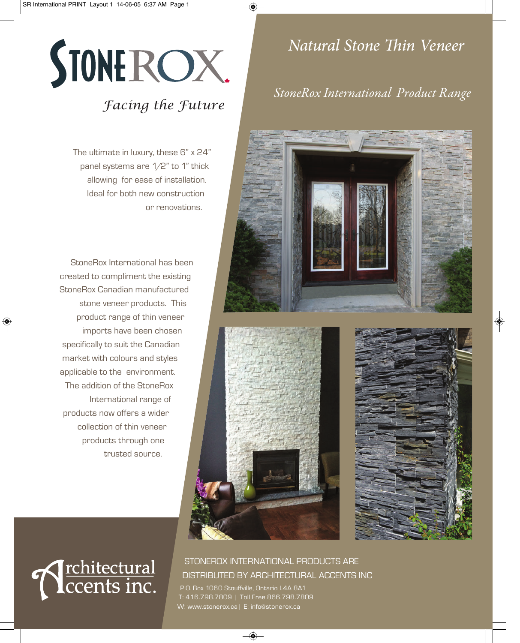

## *Facing the Future*

The ultimate in luxury, these 6" x 24" panel systems are 1/2" to 1" thick allowing for ease of installation. Ideal for both new construction or renovations.

StoneRox International has been created to compliment the existing StoneRox Canadian manufactured stone veneer products. This product range of thin veneer imports have been chosen specifically to suit the Canadian market with colours and styles applicable to the environment. The addition of the StoneRox International range of products now offers a wider collection of thin veneer products through one trusted source.

## *Natural Stone Thin Veneer*

### *StoneRox International Product Range*







# **N** rehitectural

### STONEROX INTERNATIONAL PRODUCTS ARE DISTRIBUTED BY ARCHITECTURAL ACCENTS INC

P.O. Box 1060 Stouffville, Ontario L4A 8A1 T: 416.798.7809 | Toll Free 866.798.7809 W: www.stonerox.ca | E: info@stonerox.ca